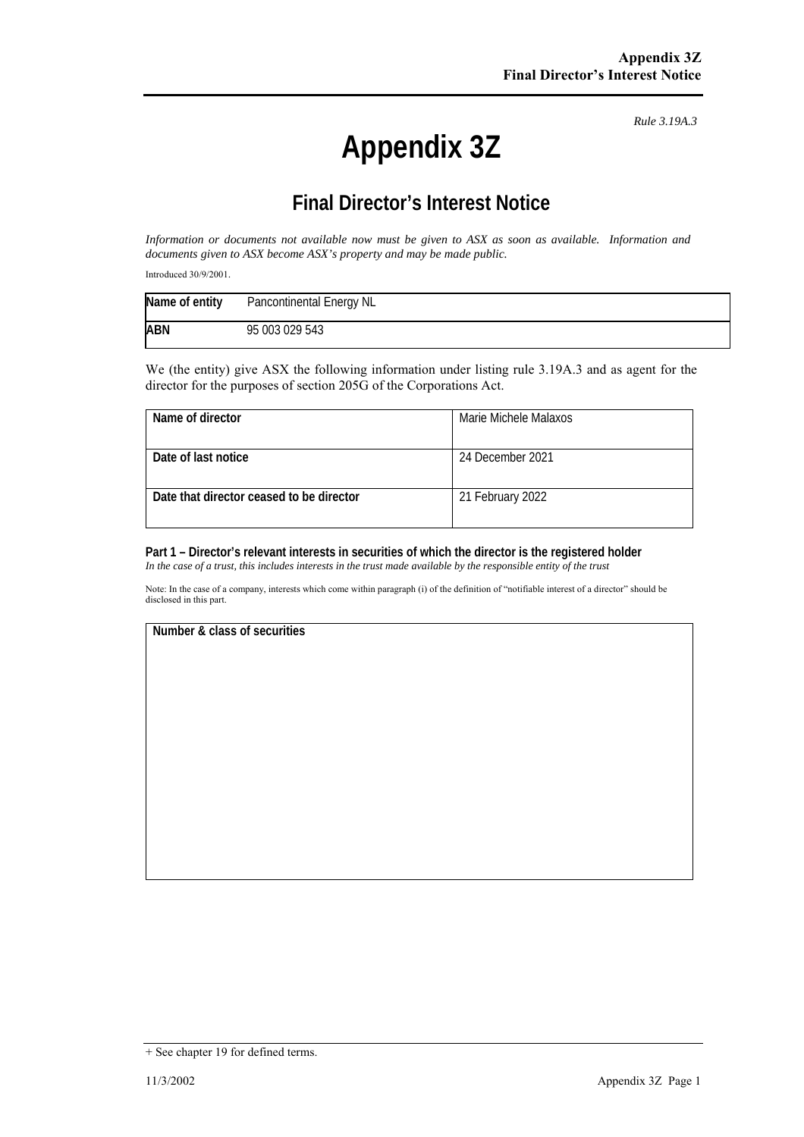# **Appendix 3Z**

*Rule 3.19A.3*

# **Final Director's Interest Notice**

*Information or documents not available now must be given to ASX as soon as available. Information and documents given to ASX become ASX's property and may be made public.* 

Introduced 30/9/2001.

| Name of entity | Pancontinental Energy NL |
|----------------|--------------------------|
| <b>ABN</b>     | 95 003 029 543           |

We (the entity) give ASX the following information under listing rule 3.19A.3 and as agent for the director for the purposes of section 205G of the Corporations Act.

| Name of director                         | Marie Michele Malaxos |
|------------------------------------------|-----------------------|
| Date of last notice                      | 24 December 2021      |
| Date that director ceased to be director | 21 February 2022      |

### **Part 1 – Director's relevant interests in securities of which the director is the registered holder**

*In the case of a trust, this includes interests in the trust made available by the responsible entity of the trust*

Note: In the case of a company, interests which come within paragraph (i) of the definition of "notifiable interest of a director" should be disclosed in this part.

#### **Number & class of securities**

<sup>+</sup> See chapter 19 for defined terms.